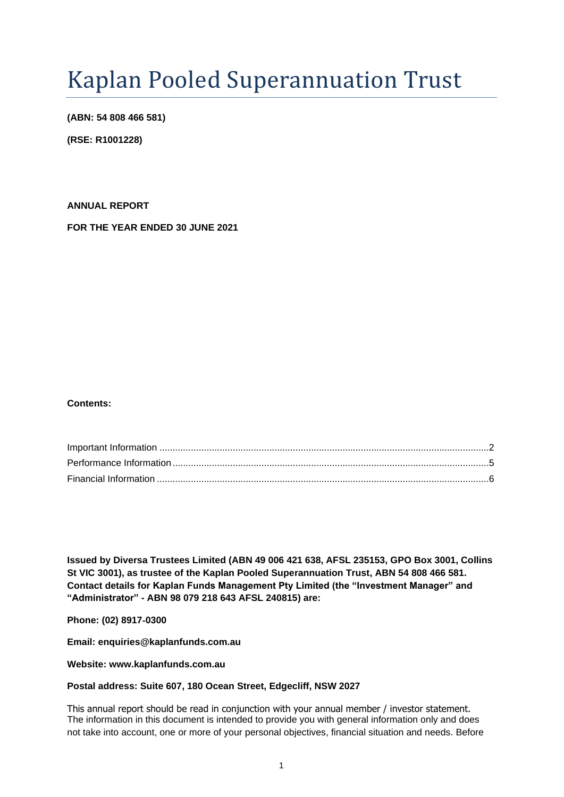# Kaplan Pooled Superannuation Trust

**(ABN: 54 808 466 581)**

**(RSE: R1001228)**

**ANNUAL REPORT FOR THE YEAR ENDED 30 JUNE 2021**

## **Contents:**

**Issued by Diversa Trustees Limited (ABN 49 006 421 638, AFSL 235153, GPO Box 3001, Collins St VIC 3001), as trustee of the Kaplan Pooled Superannuation Trust, ABN 54 808 466 581. Contact details for Kaplan Funds Management Pty Limited (the "Investment Manager" and "Administrator" - ABN 98 079 218 643 AFSL 240815) are:**

**Phone: (02) 8917**‐**0300**

**Email: enquiries@kaplanfunds.com.au**

## **Website: www.kaplanfunds.com.au**

## **Postal address: Suite 607, 180 Ocean Street, Edgecliff, NSW 2027**

This annual report should be read in conjunction with your annual member / investor statement. The information in this document is intended to provide you with general information only and does not take into account, one or more of your personal objectives, financial situation and needs. Before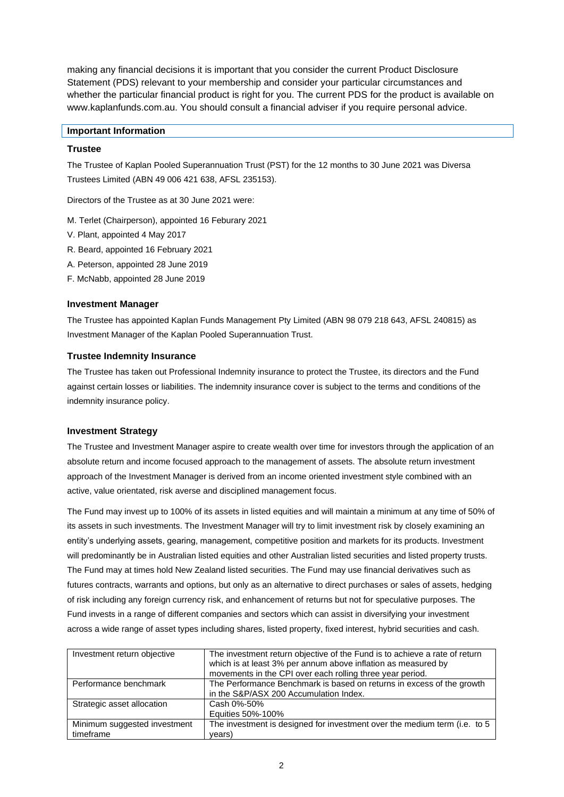making any financial decisions it is important that you consider the current Product Disclosure Statement (PDS) relevant to your membership and consider your particular circumstances and whether the particular financial product is right for you. The current PDS for the product is available on www.kaplanfunds.com.au. You should consult a financial adviser if you require personal advice.

#### <span id="page-1-0"></span>**Important Information**

#### **Trustee**

The Trustee of Kaplan Pooled Superannuation Trust (PST) for the 12 months to 30 June 2021 was Diversa Trustees Limited (ABN 49 006 421 638, AFSL 235153).

Directors of the Trustee as at 30 June 2021 were:

- M. Terlet (Chairperson), appointed 16 Feburary 2021
- V. Plant, appointed 4 May 2017
- R. Beard, appointed 16 February 2021
- A. Peterson, appointed 28 June 2019
- F. McNabb, appointed 28 June 2019

#### **Investment Manager**

The Trustee has appointed Kaplan Funds Management Pty Limited (ABN 98 079 218 643, AFSL 240815) as Investment Manager of the Kaplan Pooled Superannuation Trust.

### **Trustee Indemnity Insurance**

The Trustee has taken out Professional Indemnity insurance to protect the Trustee, its directors and the Fund against certain losses or liabilities. The indemnity insurance cover is subject to the terms and conditions of the indemnity insurance policy.

#### **Investment Strategy**

The Trustee and Investment Manager aspire to create wealth over time for investors through the application of an absolute return and income focused approach to the management of assets. The absolute return investment approach of the Investment Manager is derived from an income oriented investment style combined with an active, value orientated, risk averse and disciplined management focus.

The Fund may invest up to 100% of its assets in listed equities and will maintain a minimum at any time of 50% of its assets in such investments. The Investment Manager will try to limit investment risk by closely examining an entity's underlying assets, gearing, management, competitive position and markets for its products. Investment will predominantly be in Australian listed equities and other Australian listed securities and listed property trusts. The Fund may at times hold New Zealand listed securities. The Fund may use financial derivatives such as futures contracts, warrants and options, but only as an alternative to direct purchases or sales of assets, hedging of risk including any foreign currency risk, and enhancement of returns but not for speculative purposes. The Fund invests in a range of different companies and sectors which can assist in diversifying your investment across a wide range of asset types including shares, listed property, fixed interest, hybrid securities and cash.

| Investment return objective  | The investment return objective of the Fund is to achieve a rate of return<br>which is at least 3% per annum above inflation as measured by<br>movements in the CPI over each rolling three year period. |
|------------------------------|----------------------------------------------------------------------------------------------------------------------------------------------------------------------------------------------------------|
| Performance benchmark        | The Performance Benchmark is based on returns in excess of the growth<br>in the S&P/ASX 200 Accumulation Index.                                                                                          |
| Strategic asset allocation   | Cash 0%-50%                                                                                                                                                                                              |
|                              | Equities 50%-100%                                                                                                                                                                                        |
| Minimum suggested investment | The investment is designed for investment over the medium term (i.e. to 5                                                                                                                                |
| timeframe                    | years)                                                                                                                                                                                                   |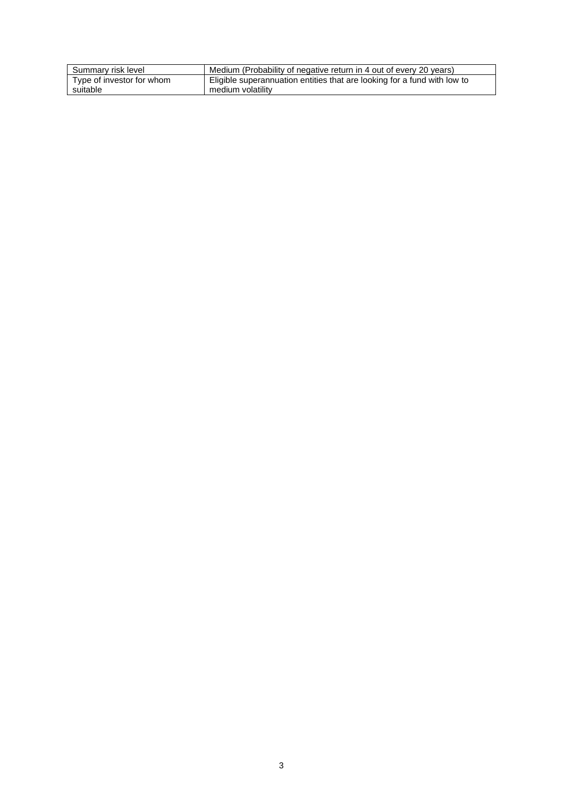| Summary risk level        | Medium (Probability of negative return in 4 out of every 20 years)       |
|---------------------------|--------------------------------------------------------------------------|
| Type of investor for whom | Eligible superannuation entities that are looking for a fund with low to |
| suitable                  | medium volatility                                                        |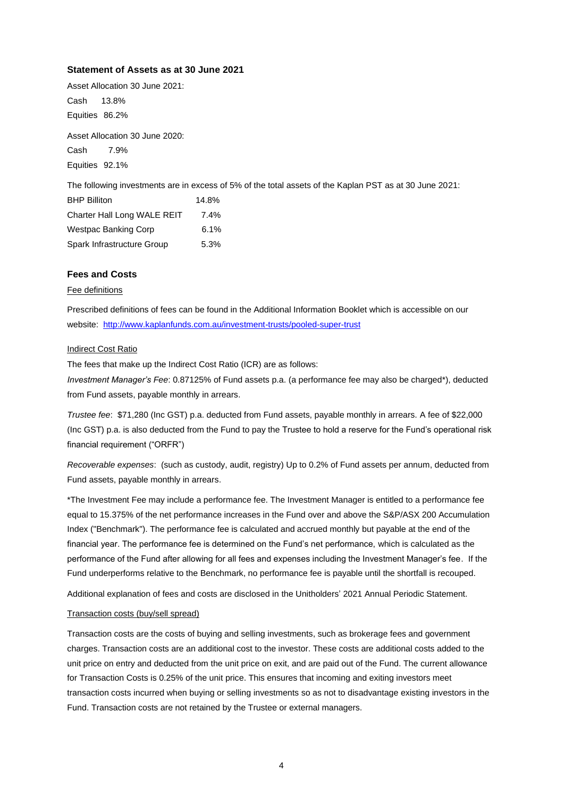#### **Statement of Assets as at 30 June 2021**

Asset Allocation 30 June 2021: Cash 13.8% Equities 86.2%

Asset Allocation 30 June 2020: Cash 7.9% Equities 92.1%

The following investments are in excess of 5% of the total assets of the Kaplan PST as at 30 June 2021:

| <b>BHP Billiton</b>         | 14.8% |
|-----------------------------|-------|
| Charter Hall Long WALE REIT | 7.4%  |
| <b>Westpac Banking Corp</b> | 6.1%  |
| Spark Infrastructure Group  | 5.3%  |

## **Fees and Costs**

#### Fee definitions

Prescribed definitions of fees can be found in the Additional Information Booklet which is accessible on our website: <http://www.kaplanfunds.com.au/investment-trusts/pooled-super-trust>

#### Indirect Cost Ratio

The fees that make up the Indirect Cost Ratio (ICR) are as follows:

*Investment Manager's Fee*: 0.87125% of Fund assets p.a. (a performance fee may also be charged\*), deducted from Fund assets, payable monthly in arrears.

*Trustee fee*: \$71,280 (Inc GST) p.a. deducted from Fund assets, payable monthly in arrears. A fee of \$22,000 (Inc GST) p.a. is also deducted from the Fund to pay the Trustee to hold a reserve for the Fund's operational risk financial requirement ("ORFR")

*Recoverable expenses*: (such as custody, audit, registry) Up to 0.2% of Fund assets per annum, deducted from Fund assets, payable monthly in arrears.

\*The Investment Fee may include a performance fee. The Investment Manager is entitled to a performance fee equal to 15.375% of the net performance increases in the Fund over and above the S&P/ASX 200 Accumulation Index ("Benchmark"). The performance fee is calculated and accrued monthly but payable at the end of the financial year. The performance fee is determined on the Fund's net performance, which is calculated as the performance of the Fund after allowing for all fees and expenses including the Investment Manager's fee. If the Fund underperforms relative to the Benchmark, no performance fee is payable until the shortfall is recouped.

Additional explanation of fees and costs are disclosed in the Unitholders' 2021 Annual Periodic Statement.

#### Transaction costs (buy/sell spread)

Transaction costs are the costs of buying and selling investments, such as brokerage fees and government charges. Transaction costs are an additional cost to the investor. These costs are additional costs added to the unit price on entry and deducted from the unit price on exit, and are paid out of the Fund. The current allowance for Transaction Costs is 0.25% of the unit price. This ensures that incoming and exiting investors meet transaction costs incurred when buying or selling investments so as not to disadvantage existing investors in the Fund. Transaction costs are not retained by the Trustee or external managers.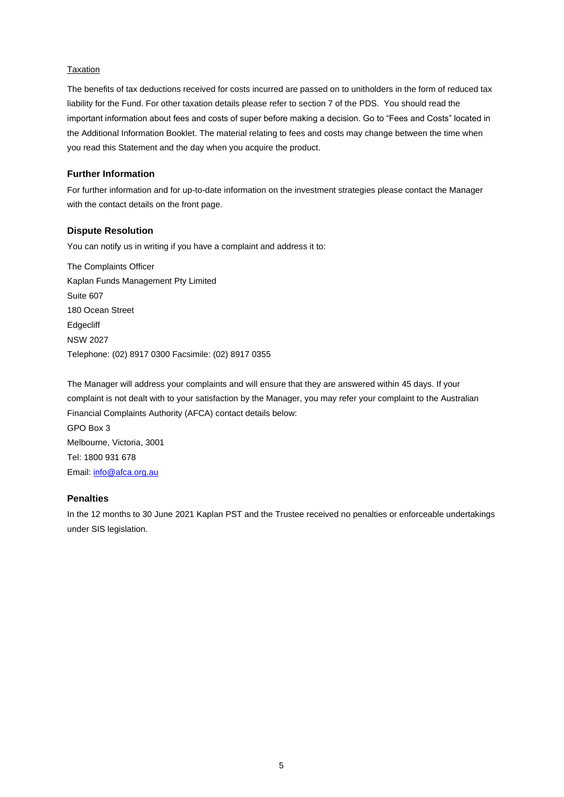### Taxation

The benefits of tax deductions received for costs incurred are passed on to unitholders in the form of reduced tax liability for the Fund. For other taxation details please refer to section 7 of the PDS. You should read the important information about fees and costs of super before making a decision. Go to "Fees and Costs" located in the Additional Information Booklet. The material relating to fees and costs may change between the time when you read this Statement and the day when you acquire the product.

## **Further Information**

For further information and for up-to-date information on the investment strategies please contact the Manager with the contact details on the front page.

## **Dispute Resolution**

You can notify us in writing if you have a complaint and address it to:

The Complaints Officer Kaplan Funds Management Pty Limited Suite 607 180 Ocean Street **Edgecliff** NSW 2027 Telephone: (02) 8917 0300 Facsimile: (02) 8917 0355

The Manager will address your complaints and will ensure that they are answered within 45 days. If your complaint is not dealt with to your satisfaction by the Manager, you may refer your complaint to the Australian Financial Complaints Authority (AFCA) contact details below: GPO Box 3 Melbourne, Victoria, 3001 Tel: 1800 931 678 Email: [info@afca.org.au](mailto:info@afca.org.au)

## **Penalties**

In the 12 months to 30 June 2021 Kaplan PST and the Trustee received no penalties or enforceable undertakings under SIS legislation.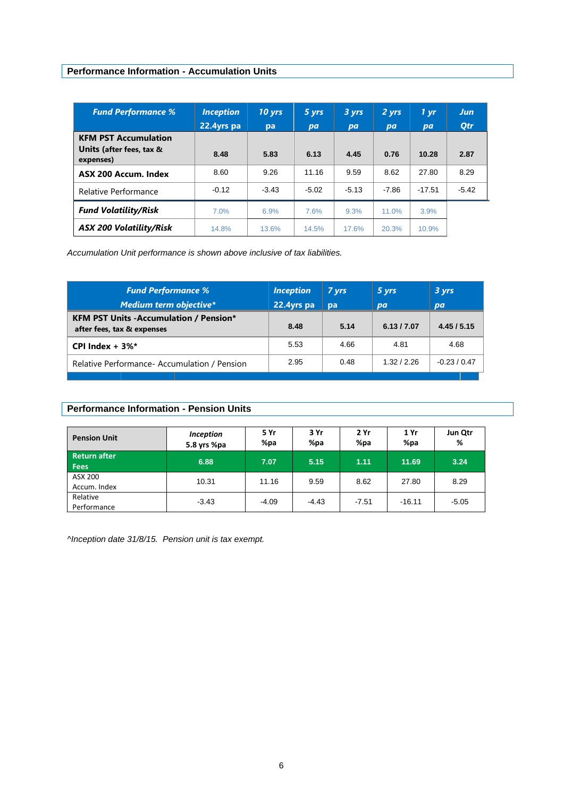# <span id="page-5-0"></span>**Performance Information - Accumulation Units**

| <b>Fund Performance %</b>             | <b>Inception</b> | $10 \text{ yrs}$ | $5 \, \text{yrs}$ | 3 yrs   | 2 yrs   | 1 yr     | <b>Jun</b> |
|---------------------------------------|------------------|------------------|-------------------|---------|---------|----------|------------|
|                                       | 22.4yrs pa       | pa               | pa                | pa      | pa      | pa       | <b>Qtr</b> |
| <b>KFM PST Accumulation</b>           |                  |                  |                   |         |         |          |            |
| Units (after fees, tax &<br>expenses) | 8.48             | 5.83             | 6.13              | 4.45    | 0.76    | 10.28    | 2.87       |
| ASX 200 Accum. Index                  | 8.60             | 9.26             | 11.16             | 9.59    | 8.62    | 27.80    | 8.29       |
| Relative Performance                  | $-0.12$          | $-3.43$          | $-5.02$           | $-5.13$ | $-7.86$ | $-17.51$ | $-5.42$    |
| <b>Fund Volatility/Risk</b>           | 7.0%             | 6.9%             | 7.6%              | 9.3%    | 11.0%   | 3.9%     |            |
| <b>ASX 200 Volatility/Risk</b>        | 14.8%            | 13.6%            | 14.5%             | 17.6%   | 20.3%   | 10.9%    |            |

*Accumulation Unit performance is shown above inclusive of tax liabilities.* 

| <b>Fund Performance %</b>                                                   | <i><u><b>Inception</b></u></i> | 7 yrs | 5 yrs       | 3 yrs        |
|-----------------------------------------------------------------------------|--------------------------------|-------|-------------|--------------|
| <b>Medium term objective*</b>                                               | 22.4yrs pa                     | pa    | pa          | <b>pa</b>    |
| <b>KFM PST Units -Accumulation / Pension*</b><br>after fees, tax & expenses | 8.48                           | 5.14  | 6.13 / 7.07 | 4.45/5.15    |
| CPI Index $+3\%$ *                                                          | 5.53                           | 4.66  | 4.81        | 4.68         |
| Relative Performance-Accumulation / Pension                                 | 2.95                           | 0.48  | 1.32 / 2.26 | $-0.23/0.47$ |

## **Performance Information - Pension Units**

| <b>Pension Unit</b>                | <b>Inception</b><br>5.8 yrs %pa | 5 Yr<br>%pa | 3 Yr<br>%pa | 2 Yr<br>%pa | 1 Yr<br>%pa | Jun Qtr<br>% |
|------------------------------------|---------------------------------|-------------|-------------|-------------|-------------|--------------|
| <b>Return after</b><br><b>Fees</b> | 6.88                            | 7.07        | 5.15        | 1.11        | 11.69       | 3.24         |
| ASX 200<br>Accum. Index            | 10.31                           | 11.16       | 9.59        | 8.62        | 27.80       | 8.29         |
| Relative<br>Performance            | $-3.43$                         | $-4.09$     | $-4.43$     | $-7.51$     | $-16.11$    | $-5.05$      |

*^Inception date 31/8/15. Pension unit is tax exempt.*